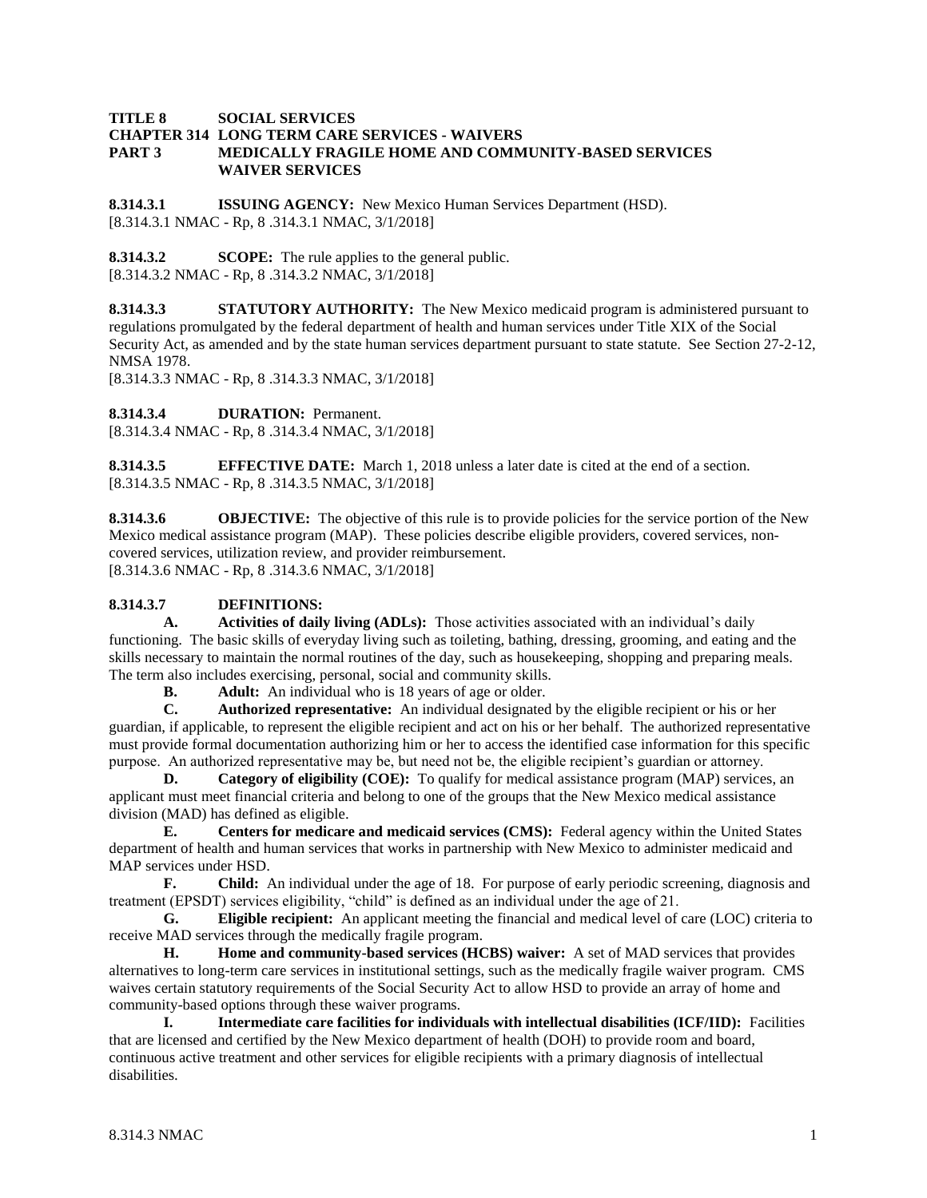#### **TITLE 8 SOCIAL SERVICES CHAPTER 314 LONG TERM CARE SERVICES - WAIVERS PART 3 MEDICALLY FRAGILE HOME AND COMMUNITY-BASED SERVICES WAIVER SERVICES**

**8.314.3.1 ISSUING AGENCY:** New Mexico Human Services Department (HSD). [8.314.3.1 NMAC - Rp, 8 .314.3.1 NMAC, 3/1/2018]

**8.314.3.2 SCOPE:** The rule applies to the general public. [8.314.3.2 NMAC - Rp, 8 .314.3.2 NMAC, 3/1/2018]

**8.314.3.3 STATUTORY AUTHORITY:** The New Mexico medicaid program is administered pursuant to regulations promulgated by the federal department of health and human services under Title XIX of the Social Security Act, as amended and by the state human services department pursuant to state statute. See Section 27-2-12, NMSA 1978.

[8.314.3.3 NMAC - Rp, 8 .314.3.3 NMAC, 3/1/2018]

**8.314.3.4 DURATION:** Permanent.

[8.314.3.4 NMAC - Rp, 8 .314.3.4 NMAC, 3/1/2018]

**8.314.3.5 EFFECTIVE DATE:** March 1, 2018 unless a later date is cited at the end of a section. [8.314.3.5 NMAC - Rp, 8 .314.3.5 NMAC, 3/1/2018]

**8.314.3.6 OBJECTIVE:** The objective of this rule is to provide policies for the service portion of the New Mexico medical assistance program (MAP). These policies describe eligible providers, covered services, noncovered services, utilization review, and provider reimbursement. [8.314.3.6 NMAC - Rp, 8 .314.3.6 NMAC, 3/1/2018]

## **8.314.3.7 DEFINITIONS:**

**A. Activities of daily living (ADLs):** Those activities associated with an individual's daily functioning. The basic skills of everyday living such as toileting, bathing, dressing, grooming, and eating and the skills necessary to maintain the normal routines of the day, such as housekeeping, shopping and preparing meals. The term also includes exercising, personal, social and community skills.

**B. Adult:** An individual who is 18 years of age or older.<br>**C. Authorized representative:** An individual designated **C. Authorized representative:** An individual designated by the eligible recipient or his or her guardian, if applicable, to represent the eligible recipient and act on his or her behalf. The authorized representative must provide formal documentation authorizing him or her to access the identified case information for this specific purpose. An authorized representative may be, but need not be, the eligible recipient's guardian or attorney.

**D. Category of eligibility (COE):** To qualify for medical assistance program (MAP) services, an applicant must meet financial criteria and belong to one of the groups that the New Mexico medical assistance division (MAD) has defined as eligible.

**E. Centers for medicare and medicaid services (CMS):** Federal agency within the United States department of health and human services that works in partnership with New Mexico to administer medicaid and MAP services under HSD.

**F. Child:** An individual under the age of 18. For purpose of early periodic screening, diagnosis and treatment (EPSDT) services eligibility, "child" is defined as an individual under the age of 21.

**G. Eligible recipient:** An applicant meeting the financial and medical level of care (LOC) criteria to receive MAD services through the medically fragile program.

**H. Home and community-based services (HCBS) waiver:** A set of MAD services that provides alternatives to long-term care services in institutional settings, such as the medically fragile waiver program. CMS waives certain statutory requirements of the Social Security Act to allow HSD to provide an array of home and community-based options through these waiver programs.

**I. Intermediate care facilities for individuals with intellectual disabilities (ICF/IID):** Facilities that are licensed and certified by the New Mexico department of health (DOH) to provide room and board, continuous active treatment and other services for eligible recipients with a primary diagnosis of intellectual disabilities.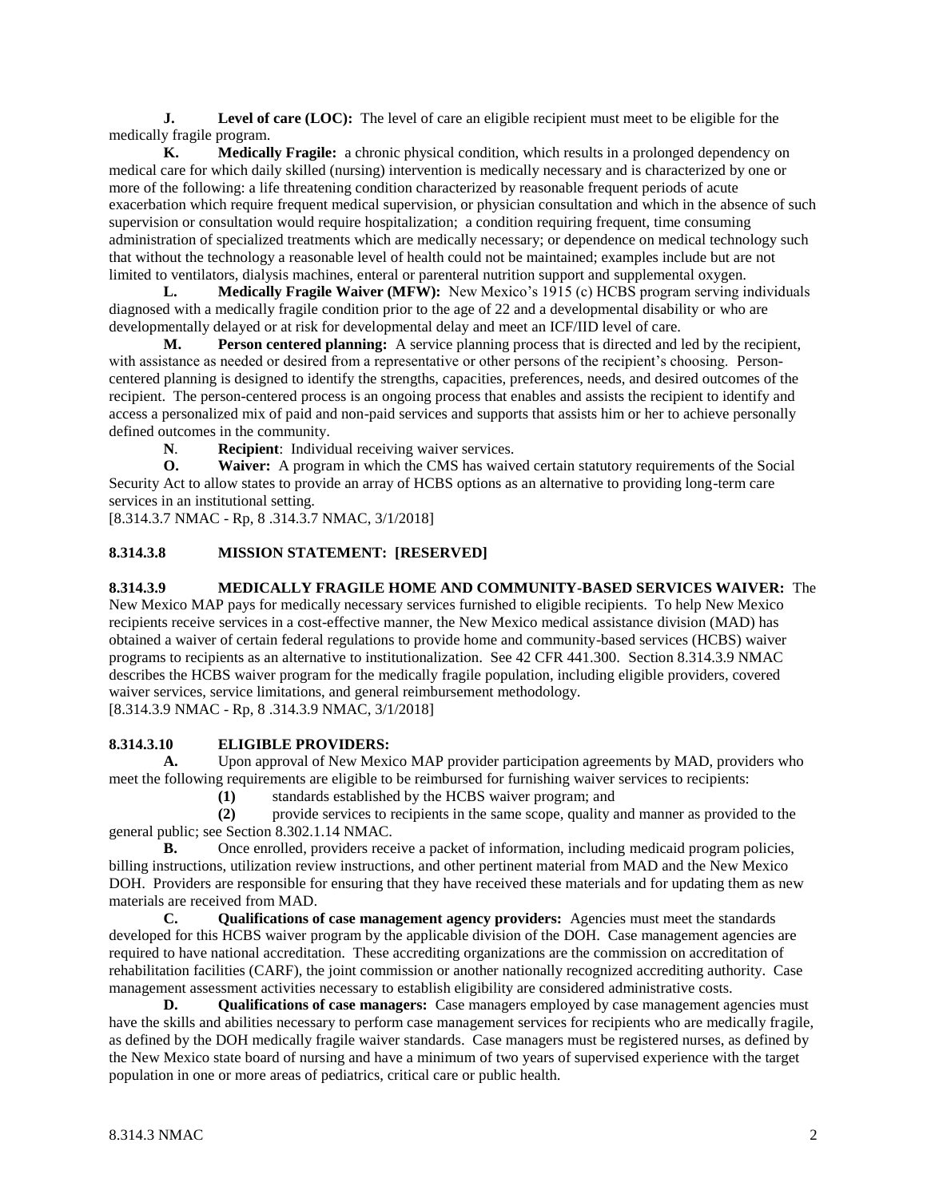**J. Level of care (LOC):** The level of care an eligible recipient must meet to be eligible for the medically fragile program.

**K. Medically Fragile:** a chronic physical condition, which results in a prolonged dependency on medical care for which daily skilled (nursing) intervention is medically necessary and is characterized by one or more of the following: a life threatening condition characterized by reasonable frequent periods of acute exacerbation which require frequent medical supervision, or physician consultation and which in the absence of such supervision or consultation would require hospitalization; a condition requiring frequent, time consuming administration of specialized treatments which are medically necessary; or dependence on medical technology such that without the technology a reasonable level of health could not be maintained; examples include but are not limited to ventilators, dialysis machines, enteral or parenteral nutrition support and supplemental oxygen.

**L. Medically Fragile Waiver (MFW):** New Mexico's 1915 (c) HCBS program serving individuals diagnosed with a medically fragile condition prior to the age of 22 and a developmental disability or who are developmentally delayed or at risk for developmental delay and meet an ICF/IID level of care.

**M. Person centered planning:** A service planning process that is directed and led by the recipient, with assistance as needed or desired from a representative or other persons of the recipient's choosing. Personcentered planning is designed to identify the strengths, capacities, preferences, needs, and desired outcomes of the recipient. The person-centered process is an ongoing process that enables and assists the recipient to identify and access a personalized mix of paid and non-paid services and supports that assists him or her to achieve personally defined outcomes in the community.

**N**. **Recipient**: Individual receiving waiver services.

**O. Waiver:** A program in which the CMS has waived certain statutory requirements of the Social Security Act to allow states to provide an array of HCBS options as an alternative to providing long-term care services in an institutional setting.

[8.314.3.7 NMAC - Rp, 8 .314.3.7 NMAC, 3/1/2018]

# **8.314.3.8 MISSION STATEMENT: [RESERVED]**

## **8.314.3.9 MEDICALLY FRAGILE HOME AND COMMUNITY-BASED SERVICES WAIVER:** The

New Mexico MAP pays for medically necessary services furnished to eligible recipients. To help New Mexico recipients receive services in a cost-effective manner, the New Mexico medical assistance division (MAD) has obtained a waiver of certain federal regulations to provide home and community-based services (HCBS) waiver programs to recipients as an alternative to institutionalization. See 42 CFR 441.300. Section 8.314.3.9 NMAC describes the HCBS waiver program for the medically fragile population, including eligible providers, covered waiver services, service limitations, and general reimbursement methodology.

[8.314.3.9 NMAC - Rp, 8 .314.3.9 NMAC, 3/1/2018]

## **8.314.3.10 ELIGIBLE PROVIDERS:**

**A.** Upon approval of New Mexico MAP provider participation agreements by MAD, providers who meet the following requirements are eligible to be reimbursed for furnishing waiver services to recipients:

**(1)** standards established by the HCBS waiver program; and

**(2)** provide services to recipients in the same scope, quality and manner as provided to the general public; see Section 8.302.1.14 NMAC.

**B.** Once enrolled, providers receive a packet of information, including medicaid program policies, billing instructions, utilization review instructions, and other pertinent material from MAD and the New Mexico DOH. Providers are responsible for ensuring that they have received these materials and for updating them as new materials are received from MAD.

**C. Qualifications of case management agency providers:** Agencies must meet the standards developed for this HCBS waiver program by the applicable division of the DOH. Case management agencies are required to have national accreditation. These accrediting organizations are the commission on accreditation of rehabilitation facilities (CARF), the joint commission or another nationally recognized accrediting authority. Case management assessment activities necessary to establish eligibility are considered administrative costs.

**D. Qualifications of case managers:** Case managers employed by case management agencies must have the skills and abilities necessary to perform case management services for recipients who are medically fragile, as defined by the DOH medically fragile waiver standards. Case managers must be registered nurses, as defined by the New Mexico state board of nursing and have a minimum of two years of supervised experience with the target population in one or more areas of pediatrics, critical care or public health.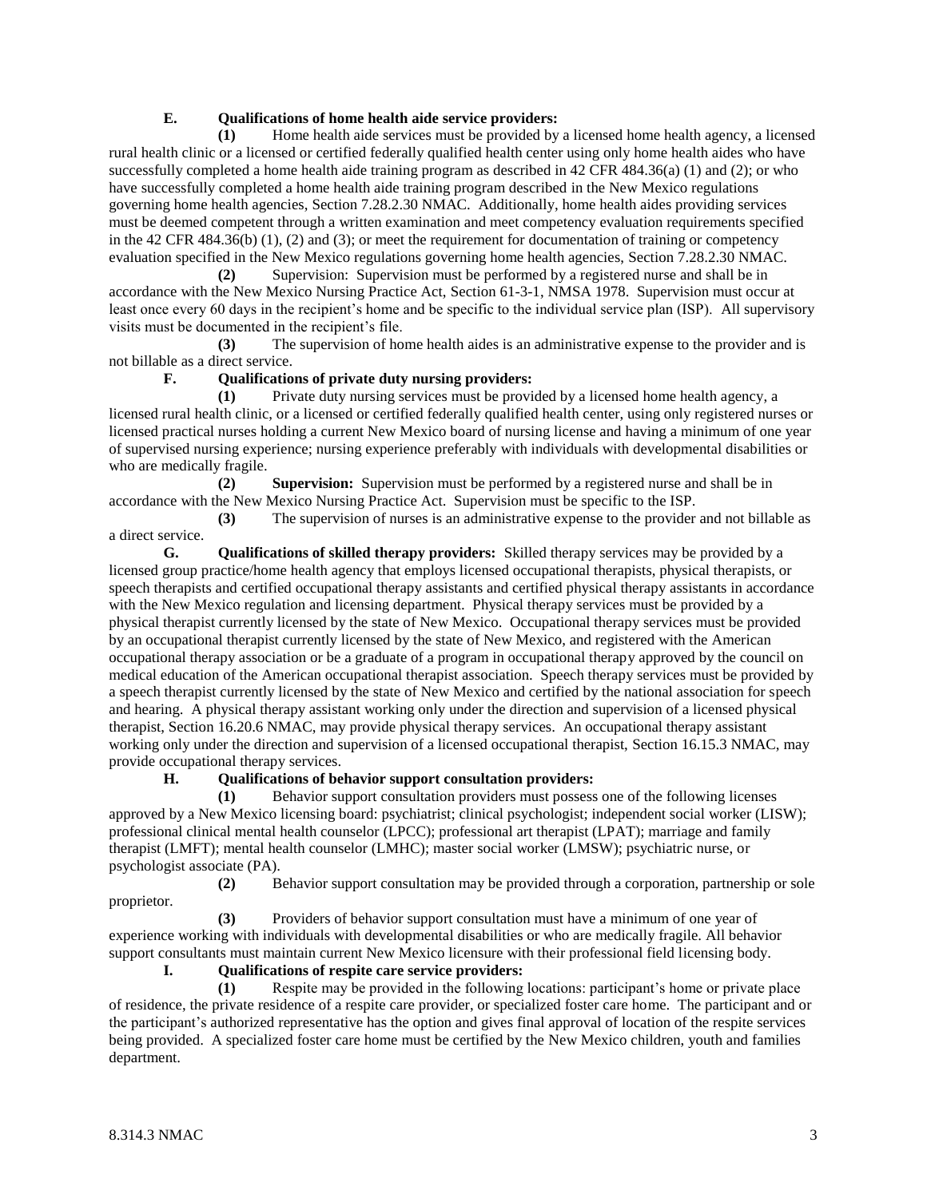## **E. Qualifications of home health aide service providers:**

**(1)** Home health aide services must be provided by a licensed home health agency, a licensed rural health clinic or a licensed or certified federally qualified health center using only home health aides who have successfully completed a home health aide training program as described in 42 CFR 484.36(a) (1) and (2); or who have successfully completed a home health aide training program described in the New Mexico regulations governing home health agencies, Section 7.28.2.30 NMAC. Additionally, home health aides providing services must be deemed competent through a written examination and meet competency evaluation requirements specified in the 42 CFR 484.36(b) (1), (2) and (3); or meet the requirement for documentation of training or competency evaluation specified in the New Mexico regulations governing home health agencies, Section 7.28.2.30 NMAC.

**(2)** Supervision: Supervision must be performed by a registered nurse and shall be in accordance with the New Mexico Nursing Practice Act, Section 61-3-1, NMSA 1978. Supervision must occur at least once every 60 days in the recipient's home and be specific to the individual service plan (ISP). All supervisory visits must be documented in the recipient's file.

**(3)** The supervision of home health aides is an administrative expense to the provider and is not billable as a direct service.

# **F. Qualifications of private duty nursing providers:**

**(1)** Private duty nursing services must be provided by a licensed home health agency, a licensed rural health clinic, or a licensed or certified federally qualified health center, using only registered nurses or licensed practical nurses holding a current New Mexico board of nursing license and having a minimum of one year of supervised nursing experience; nursing experience preferably with individuals with developmental disabilities or who are medically fragile.

**(2) Supervision:** Supervision must be performed by a registered nurse and shall be in accordance with the New Mexico Nursing Practice Act. Supervision must be specific to the ISP.

**(3)** The supervision of nurses is an administrative expense to the provider and not billable as a direct service.

**G. Qualifications of skilled therapy providers:** Skilled therapy services may be provided by a licensed group practice/home health agency that employs licensed occupational therapists, physical therapists, or speech therapists and certified occupational therapy assistants and certified physical therapy assistants in accordance with the New Mexico regulation and licensing department. Physical therapy services must be provided by a physical therapist currently licensed by the state of New Mexico. Occupational therapy services must be provided by an occupational therapist currently licensed by the state of New Mexico, and registered with the American occupational therapy association or be a graduate of a program in occupational therapy approved by the council on medical education of the American occupational therapist association. Speech therapy services must be provided by a speech therapist currently licensed by the state of New Mexico and certified by the national association for speech and hearing. A physical therapy assistant working only under the direction and supervision of a licensed physical therapist, Section 16.20.6 NMAC, may provide physical therapy services. An occupational therapy assistant working only under the direction and supervision of a licensed occupational therapist, Section 16.15.3 NMAC, may provide occupational therapy services.

## **H. Qualifications of behavior support consultation providers:**

**(1)** Behavior support consultation providers must possess one of the following licenses approved by a New Mexico licensing board: psychiatrist; clinical psychologist; independent social worker (LISW); professional clinical mental health counselor (LPCC); professional art therapist (LPAT); marriage and family therapist (LMFT); mental health counselor (LMHC); master social worker (LMSW); psychiatric nurse, or psychologist associate (PA).

**(2)** Behavior support consultation may be provided through a corporation, partnership or sole proprietor.

**(3)** Providers of behavior support consultation must have a minimum of one year of experience working with individuals with developmental disabilities or who are medically fragile. All behavior support consultants must maintain current New Mexico licensure with their professional field licensing body.

## **I. Qualifications of respite care service providers:**

**(1)** Respite may be provided in the following locations: participant's home or private place of residence, the private residence of a respite care provider, or specialized foster care home. The participant and or the participant's authorized representative has the option and gives final approval of location of the respite services being provided. A specialized foster care home must be certified by the New Mexico children, youth and families department.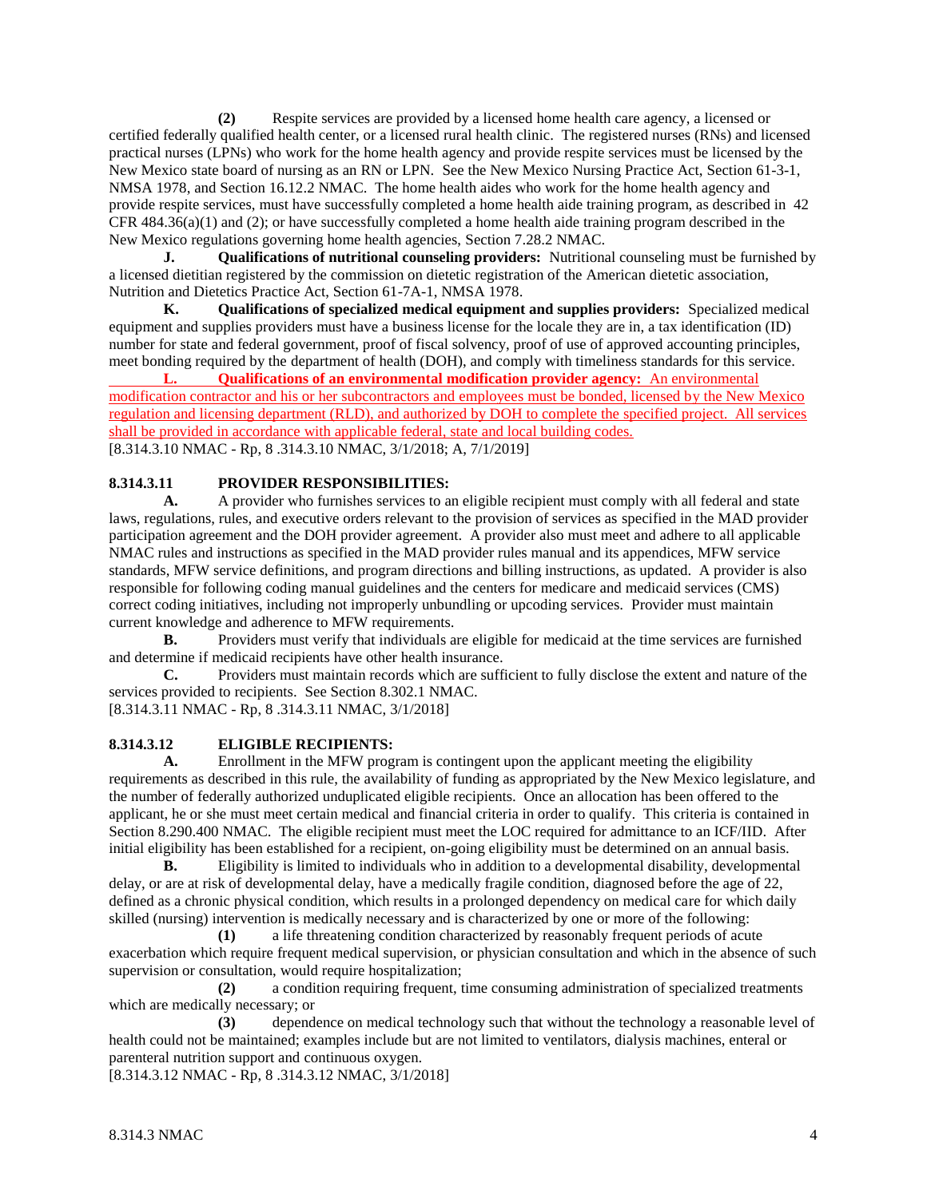**(2)** Respite services are provided by a licensed home health care agency, a licensed or certified federally qualified health center, or a licensed rural health clinic. The registered nurses (RNs) and licensed practical nurses (LPNs) who work for the home health agency and provide respite services must be licensed by the New Mexico state board of nursing as an RN or LPN. See the New Mexico Nursing Practice Act, Section 61-3-1, NMSA 1978, and Section 16.12.2 NMAC. The home health aides who work for the home health agency and provide respite services, must have successfully completed a home health aide training program, as described in 42 CFR 484.36(a)(1) and (2); or have successfully completed a home health aide training program described in the New Mexico regulations governing home health agencies, Section 7.28.2 NMAC.

**J. Qualifications of nutritional counseling providers:** Nutritional counseling must be furnished by a licensed dietitian registered by the commission on dietetic registration of the American dietetic association, Nutrition and Dietetics Practice Act, Section 61-7A-1, NMSA 1978.

**K. Qualifications of specialized medical equipment and supplies providers:** Specialized medical equipment and supplies providers must have a business license for the locale they are in, a tax identification (ID) number for state and federal government, proof of fiscal solvency, proof of use of approved accounting principles, meet bonding required by the department of health (DOH), and comply with timeliness standards for this service.

**L. Qualifications of an environmental modification provider agency:** An environmental modification contractor and his or her subcontractors and employees must be bonded, licensed by the New Mexico regulation and licensing department (RLD), and authorized by DOH to complete the specified project. All services shall be provided in accordance with applicable federal, state and local building codes. [8.314.3.10 NMAC - Rp, 8 .314.3.10 NMAC, 3/1/2018; A, 7/1/2019]

# **8.314.3.11 PROVIDER RESPONSIBILITIES:**

**A.** A provider who furnishes services to an eligible recipient must comply with all federal and state laws, regulations, rules, and executive orders relevant to the provision of services as specified in the MAD provider participation agreement and the DOH provider agreement. A provider also must meet and adhere to all applicable NMAC rules and instructions as specified in the MAD provider rules manual and its appendices, MFW service standards, MFW service definitions, and program directions and billing instructions, as updated. A provider is also responsible for following coding manual guidelines and the centers for medicare and medicaid services (CMS) correct coding initiatives, including not improperly unbundling or upcoding services. Provider must maintain current knowledge and adherence to MFW requirements.

**B.** Providers must verify that individuals are eligible for medicaid at the time services are furnished and determine if medicaid recipients have other health insurance.

**C.** Providers must maintain records which are sufficient to fully disclose the extent and nature of the services provided to recipients. See Section 8.302.1 NMAC.

[8.314.3.11 NMAC - Rp, 8 .314.3.11 NMAC, 3/1/2018]

## **8.314.3.12 ELIGIBLE RECIPIENTS:**

**A.** Enrollment in the MFW program is contingent upon the applicant meeting the eligibility requirements as described in this rule, the availability of funding as appropriated by the New Mexico legislature, and the number of federally authorized unduplicated eligible recipients. Once an allocation has been offered to the applicant, he or she must meet certain medical and financial criteria in order to qualify. This criteria is contained in Section 8.290.400 NMAC. The eligible recipient must meet the LOC required for admittance to an ICF/IID. After initial eligibility has been established for a recipient, on-going eligibility must be determined on an annual basis.

**B.** Eligibility is limited to individuals who in addition to a developmental disability, developmental delay, or are at risk of developmental delay, have a medically fragile condition, diagnosed before the age of 22, defined as a chronic physical condition, which results in a prolonged dependency on medical care for which daily skilled (nursing) intervention is medically necessary and is characterized by one or more of the following:

**(1)** a life threatening condition characterized by reasonably frequent periods of acute exacerbation which require frequent medical supervision, or physician consultation and which in the absence of such supervision or consultation, would require hospitalization;

**(2)** a condition requiring frequent, time consuming administration of specialized treatments which are medically necessary; or

**(3)** dependence on medical technology such that without the technology a reasonable level of health could not be maintained; examples include but are not limited to ventilators, dialysis machines, enteral or parenteral nutrition support and continuous oxygen.

[8.314.3.12 NMAC - Rp, 8 .314.3.12 NMAC, 3/1/2018]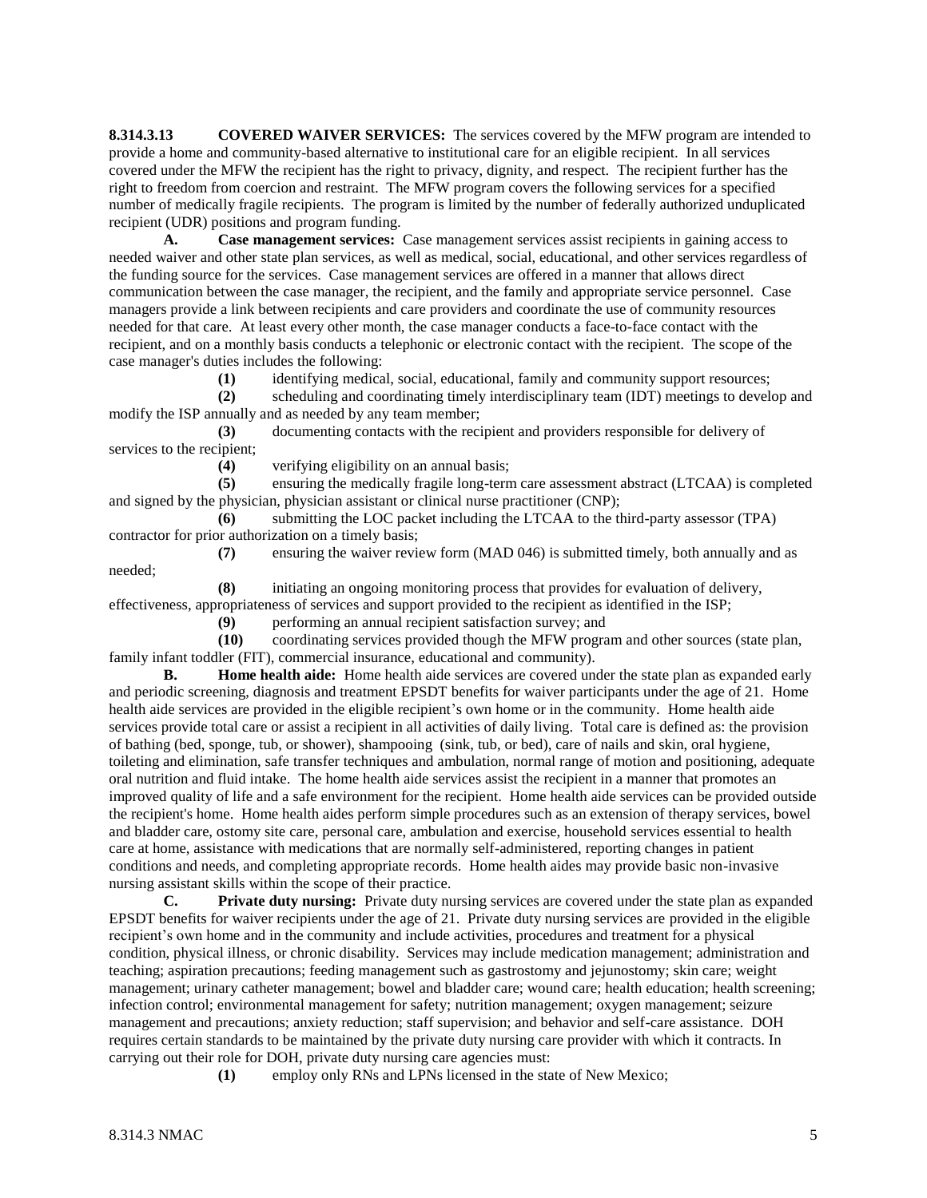**8.314.3.13 COVERED WAIVER SERVICES:** The services covered by the MFW program are intended to provide a home and community-based alternative to institutional care for an eligible recipient. In all services covered under the MFW the recipient has the right to privacy, dignity, and respect. The recipient further has the right to freedom from coercion and restraint. The MFW program covers the following services for a specified number of medically fragile recipients. The program is limited by the number of federally authorized unduplicated recipient (UDR) positions and program funding.

**A. Case management services:** Case management services assist recipients in gaining access to needed waiver and other state plan services, as well as medical, social, educational, and other services regardless of the funding source for the services. Case management services are offered in a manner that allows direct communication between the case manager, the recipient, and the family and appropriate service personnel. Case managers provide a link between recipients and care providers and coordinate the use of community resources needed for that care. At least every other month, the case manager conducts a face-to-face contact with the recipient, and on a monthly basis conducts a telephonic or electronic contact with the recipient. The scope of the case manager's duties includes the following:

**(1)** identifying medical, social, educational, family and community support resources;

**(2)** scheduling and coordinating timely interdisciplinary team (IDT) meetings to develop and modify the ISP annually and as needed by any team member;

**(3)** documenting contacts with the recipient and providers responsible for delivery of services to the recipient;

**(4)** verifying eligibility on an annual basis;

**(5)** ensuring the medically fragile long-term care assessment abstract (LTCAA) is completed and signed by the physician, physician assistant or clinical nurse practitioner (CNP);

**(6)** submitting the LOC packet including the LTCAA to the third-party assessor (TPA) contractor for prior authorization on a timely basis;

**(7)** ensuring the waiver review form (MAD 046) is submitted timely, both annually and as

**(8)** initiating an ongoing monitoring process that provides for evaluation of delivery, effectiveness, appropriateness of services and support provided to the recipient as identified in the ISP;

**(9)** performing an annual recipient satisfaction survey; and

**(10)** coordinating services provided though the MFW program and other sources (state plan, family infant toddler (FIT), commercial insurance, educational and community).

**B. Home health aide:** Home health aide services are covered under the state plan as expanded early and periodic screening, diagnosis and treatment EPSDT benefits for waiver participants under the age of 21. Home health aide services are provided in the eligible recipient's own home or in the community. Home health aide services provide total care or assist a recipient in all activities of daily living. Total care is defined as: the provision of bathing (bed, sponge, tub, or shower), shampooing (sink, tub, or bed), care of nails and skin, oral hygiene, toileting and elimination, safe transfer techniques and ambulation, normal range of motion and positioning, adequate oral nutrition and fluid intake. The home health aide services assist the recipient in a manner that promotes an improved quality of life and a safe environment for the recipient. Home health aide services can be provided outside the recipient's home. Home health aides perform simple procedures such as an extension of therapy services, bowel and bladder care, ostomy site care, personal care, ambulation and exercise, household services essential to health care at home, assistance with medications that are normally self-administered, reporting changes in patient conditions and needs, and completing appropriate records. Home health aides may provide basic non-invasive nursing assistant skills within the scope of their practice.

**C. Private duty nursing:** Private duty nursing services are covered under the state plan as expanded EPSDT benefits for waiver recipients under the age of 21. Private duty nursing services are provided in the eligible recipient's own home and in the community and include activities, procedures and treatment for a physical condition, physical illness, or chronic disability. Services may include medication management; administration and teaching; aspiration precautions; feeding management such as gastrostomy and jejunostomy; skin care; weight management; urinary catheter management; bowel and bladder care; wound care; health education; health screening; infection control; environmental management for safety; nutrition management; oxygen management; seizure management and precautions; anxiety reduction; staff supervision; and behavior and self-care assistance. DOH requires certain standards to be maintained by the private duty nursing care provider with which it contracts. In carrying out their role for DOH, private duty nursing care agencies must:

**(1)** employ only RNs and LPNs licensed in the state of New Mexico;

needed;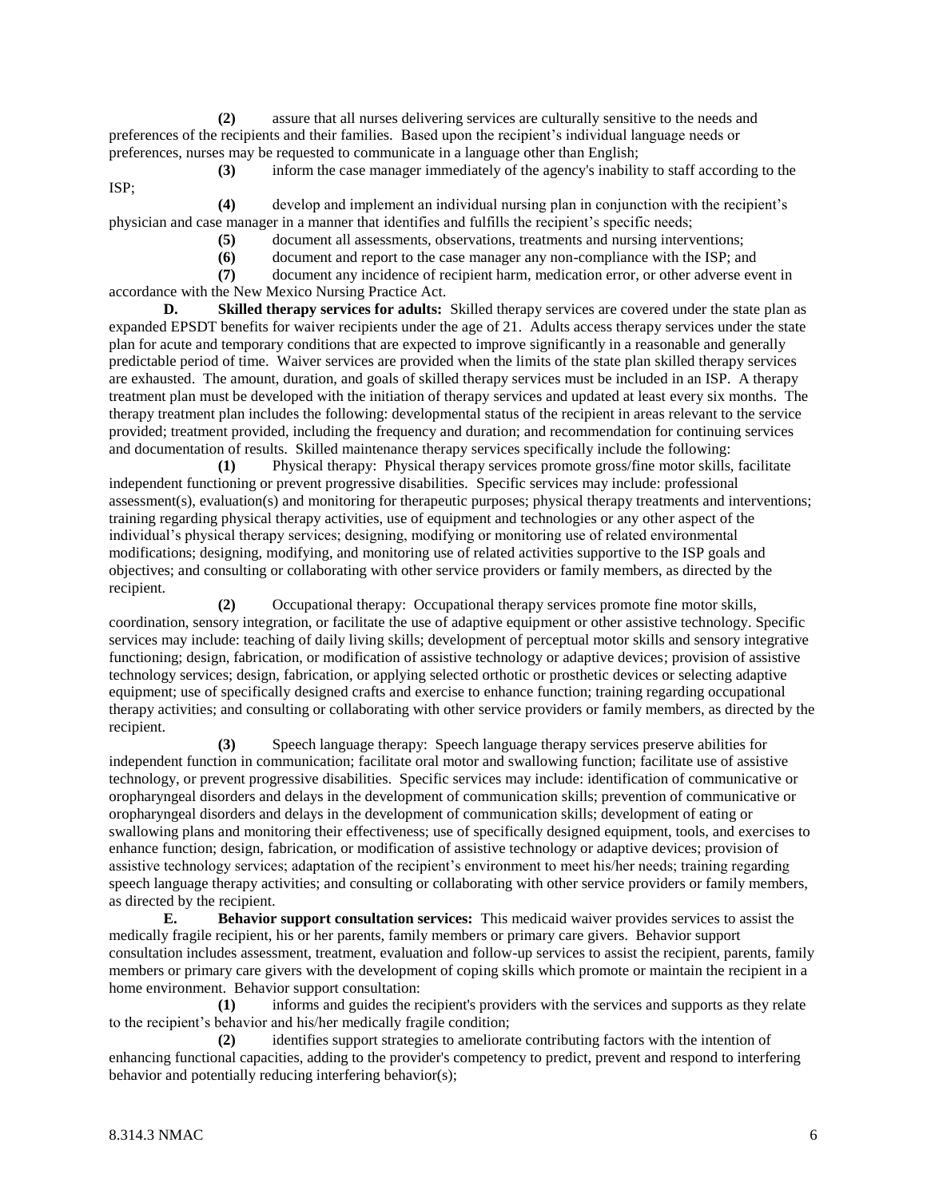**(2)** assure that all nurses delivering services are culturally sensitive to the needs and preferences of the recipients and their families. Based upon the recipient's individual language needs or preferences, nurses may be requested to communicate in a language other than English;

**(3)** inform the case manager immediately of the agency's inability to staff according to the ISP;

**(4)** develop and implement an individual nursing plan in conjunction with the recipient's physician and case manager in a manner that identifies and fulfills the recipient's specific needs;

- **(5)** document all assessments, observations, treatments and nursing interventions;
- **(6)** document and report to the case manager any non-compliance with the ISP; and

**(7)** document any incidence of recipient harm, medication error, or other adverse event in accordance with the New Mexico Nursing Practice Act.

**D. Skilled therapy services for adults:** Skilled therapy services are covered under the state plan as expanded EPSDT benefits for waiver recipients under the age of 21. Adults access therapy services under the state plan for acute and temporary conditions that are expected to improve significantly in a reasonable and generally predictable period of time. Waiver services are provided when the limits of the state plan skilled therapy services are exhausted. The amount, duration, and goals of skilled therapy services must be included in an ISP. A therapy treatment plan must be developed with the initiation of therapy services and updated at least every six months. The therapy treatment plan includes the following: developmental status of the recipient in areas relevant to the service provided; treatment provided, including the frequency and duration; and recommendation for continuing services and documentation of results. Skilled maintenance therapy services specifically include the following:

**(1)** Physical therapy: Physical therapy services promote gross/fine motor skills, facilitate independent functioning or prevent progressive disabilities. Specific services may include: professional assessment(s), evaluation(s) and monitoring for therapeutic purposes; physical therapy treatments and interventions; training regarding physical therapy activities, use of equipment and technologies or any other aspect of the individual's physical therapy services; designing, modifying or monitoring use of related environmental modifications; designing, modifying, and monitoring use of related activities supportive to the ISP goals and objectives; and consulting or collaborating with other service providers or family members, as directed by the recipient.

**(2)** Occupational therapy: Occupational therapy services promote fine motor skills, coordination, sensory integration, or facilitate the use of adaptive equipment or other assistive technology. Specific services may include: teaching of daily living skills; development of perceptual motor skills and sensory integrative functioning; design, fabrication, or modification of assistive technology or adaptive devices; provision of assistive technology services; design, fabrication, or applying selected orthotic or prosthetic devices or selecting adaptive equipment; use of specifically designed crafts and exercise to enhance function; training regarding occupational therapy activities; and consulting or collaborating with other service providers or family members, as directed by the recipient.

**(3)** Speech language therapy: Speech language therapy services preserve abilities for independent function in communication; facilitate oral motor and swallowing function; facilitate use of assistive technology, or prevent progressive disabilities. Specific services may include: identification of communicative or oropharyngeal disorders and delays in the development of communication skills; prevention of communicative or oropharyngeal disorders and delays in the development of communication skills; development of eating or swallowing plans and monitoring their effectiveness; use of specifically designed equipment, tools, and exercises to enhance function; design, fabrication, or modification of assistive technology or adaptive devices; provision of assistive technology services; adaptation of the recipient's environment to meet his/her needs; training regarding speech language therapy activities; and consulting or collaborating with other service providers or family members, as directed by the recipient.

**E. Behavior support consultation services:** This medicaid waiver provides services to assist the medically fragile recipient, his or her parents, family members or primary care givers. Behavior support consultation includes assessment, treatment, evaluation and follow-up services to assist the recipient, parents, family members or primary care givers with the development of coping skills which promote or maintain the recipient in a home environment. Behavior support consultation:

**(1)** informs and guides the recipient's providers with the services and supports as they relate to the recipient's behavior and his/her medically fragile condition;

**(2)** identifies support strategies to ameliorate contributing factors with the intention of enhancing functional capacities, adding to the provider's competency to predict, prevent and respond to interfering behavior and potentially reducing interfering behavior(s);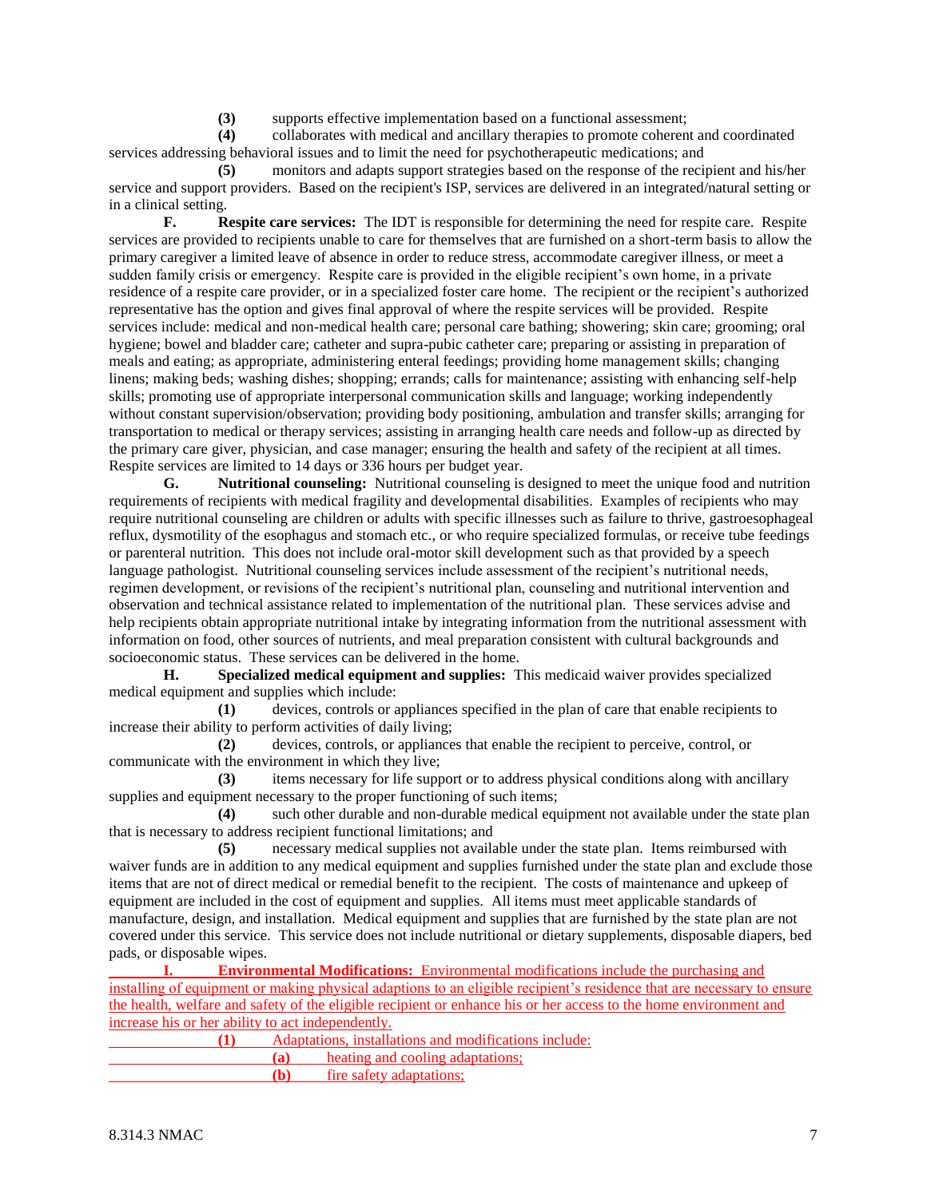**(3)** supports effective implementation based on a functional assessment;

**(4)** collaborates with medical and ancillary therapies to promote coherent and coordinated services addressing behavioral issues and to limit the need for psychotherapeutic medications; and

**(5)** monitors and adapts support strategies based on the response of the recipient and his/her service and support providers. Based on the recipient's ISP, services are delivered in an integrated/natural setting or in a clinical setting.

**F. Respite care services:** The IDT is responsible for determining the need for respite care. Respite services are provided to recipients unable to care for themselves that are furnished on a short-term basis to allow the primary caregiver a limited leave of absence in order to reduce stress, accommodate caregiver illness, or meet a sudden family crisis or emergency. Respite care is provided in the eligible recipient's own home, in a private residence of a respite care provider, or in a specialized foster care home. The recipient or the recipient's authorized representative has the option and gives final approval of where the respite services will be provided. Respite services include: medical and non-medical health care; personal care bathing; showering; skin care; grooming; oral hygiene; bowel and bladder care; catheter and supra-pubic catheter care; preparing or assisting in preparation of meals and eating; as appropriate, administering enteral feedings; providing home management skills; changing linens; making beds; washing dishes; shopping; errands; calls for maintenance; assisting with enhancing self-help skills; promoting use of appropriate interpersonal communication skills and language; working independently without constant supervision/observation; providing body positioning, ambulation and transfer skills; arranging for transportation to medical or therapy services; assisting in arranging health care needs and follow-up as directed by the primary care giver, physician, and case manager; ensuring the health and safety of the recipient at all times. Respite services are limited to 14 days or 336 hours per budget year.

**G. Nutritional counseling:** Nutritional counseling is designed to meet the unique food and nutrition requirements of recipients with medical fragility and developmental disabilities. Examples of recipients who may require nutritional counseling are children or adults with specific illnesses such as failure to thrive, gastroesophageal reflux, dysmotility of the esophagus and stomach etc., or who require specialized formulas, or receive tube feedings or parenteral nutrition. This does not include oral-motor skill development such as that provided by a speech language pathologist. Nutritional counseling services include assessment of the recipient's nutritional needs, regimen development, or revisions of the recipient's nutritional plan, counseling and nutritional intervention and observation and technical assistance related to implementation of the nutritional plan. These services advise and help recipients obtain appropriate nutritional intake by integrating information from the nutritional assessment with information on food, other sources of nutrients, and meal preparation consistent with cultural backgrounds and socioeconomic status. These services can be delivered in the home.

**H. Specialized medical equipment and supplies:** This medicaid waiver provides specialized medical equipment and supplies which include:

**(1)** devices, controls or appliances specified in the plan of care that enable recipients to increase their ability to perform activities of daily living;

**(2)** devices, controls, or appliances that enable the recipient to perceive, control, or communicate with the environment in which they live;

**(3)** items necessary for life support or to address physical conditions along with ancillary supplies and equipment necessary to the proper functioning of such items;

**(4)** such other durable and non-durable medical equipment not available under the state plan that is necessary to address recipient functional limitations; and

**(5)** necessary medical supplies not available under the state plan. Items reimbursed with waiver funds are in addition to any medical equipment and supplies furnished under the state plan and exclude those items that are not of direct medical or remedial benefit to the recipient. The costs of maintenance and upkeep of equipment are included in the cost of equipment and supplies. All items must meet applicable standards of manufacture, design, and installation. Medical equipment and supplies that are furnished by the state plan are not covered under this service. This service does not include nutritional or dietary supplements, disposable diapers, bed pads, or disposable wipes.

**I. Environmental Modifications:** Environmental modifications include the purchasing and installing of equipment or making physical adaptions to an eligible recipient's residence that are necessary to ensure the health, welfare and safety of the eligible recipient or enhance his or her access to the home environment and increase his or her ability to act independently.

| Adaptations, installations and modifications include: |                                  |
|-------------------------------------------------------|----------------------------------|
|                                                       | heating and cooling adaptations; |
|                                                       | <u>fire safety adaptations;</u>  |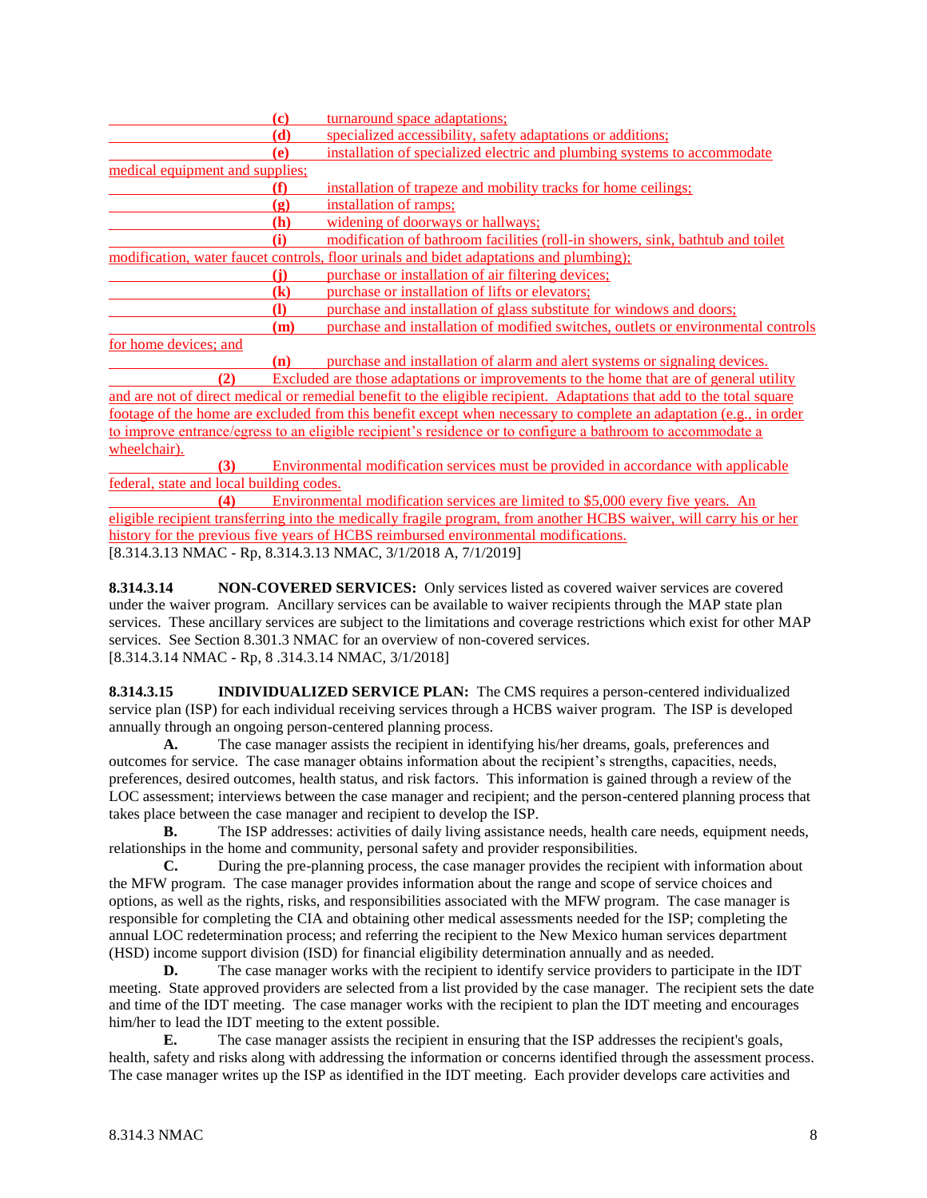|                                 | (c)        | turnaround space adaptations;                                                           |
|---------------------------------|------------|-----------------------------------------------------------------------------------------|
|                                 | (d)        | specialized accessibility, safety adaptations or additions;                             |
|                                 | (e)        | installation of specialized electric and plumbing systems to accommodate                |
| medical equipment and supplies; |            |                                                                                         |
|                                 | (f)        | installation of trapeze and mobility tracks for home ceilings;                          |
|                                 | (g)        | installation of ramps:                                                                  |
|                                 | <b>(h)</b> | widening of doorways or hallways;                                                       |
|                                 | (i)        | modification of bathroom facilities (roll-in showers, sink, bathtub and toilet          |
|                                 |            | modification, water faucet controls, floor urinals and bidet adaptations and plumbing); |
|                                 | (i)        | purchase or installation of air filtering devices;                                      |
|                                 | (k)        | purchase or installation of lifts or elevators;                                         |
|                                 |            | purchase and installation of glass substitute for windows and doors;                    |
|                                 | (m)        | purchase and installation of modified switches, outlets or environmental controls       |
| for home devices; and           |            |                                                                                         |
|                                 | (n)        | purchase and installation of alarm and alert systems or signaling devices.              |
| (2)                             |            | Excluded are those adaptations or improvements to the home that are of general utility  |

and are not of direct medical or remedial benefit to the eligible recipient. Adaptations that add to the total square footage of the home are excluded from this benefit except when necessary to complete an adaptation (e.g., in order to improve entrance/egress to an eligible recipient's residence or to configure a bathroom to accommodate a wheelchair).

**(3)** Environmental modification services must be provided in accordance with applicable federal, state and local building codes.

**(4)** Environmental modification services are limited to \$5,000 every five years. An eligible recipient transferring into the medically fragile program, from another HCBS waiver, will carry his or her history for the previous five years of HCBS reimbursed environmental modifications. [8.314.3.13 NMAC - Rp, 8.314.3.13 NMAC, 3/1/2018 A, 7/1/2019]

**8.314.3.14 NON-COVERED SERVICES:** Only services listed as covered waiver services are covered under the waiver program. Ancillary services can be available to waiver recipients through the MAP state plan services. These ancillary services are subject to the limitations and coverage restrictions which exist for other MAP services. See Section 8.301.3 NMAC for an overview of non-covered services. [8.314.3.14 NMAC - Rp, 8 .314.3.14 NMAC, 3/1/2018]

**8.314.3.15 INDIVIDUALIZED SERVICE PLAN:** The CMS requires a person-centered individualized service plan (ISP) for each individual receiving services through a HCBS waiver program. The ISP is developed annually through an ongoing person-centered planning process.

**A.** The case manager assists the recipient in identifying his/her dreams, goals, preferences and outcomes for service. The case manager obtains information about the recipient's strengths, capacities, needs, preferences, desired outcomes, health status, and risk factors. This information is gained through a review of the LOC assessment; interviews between the case manager and recipient; and the person-centered planning process that takes place between the case manager and recipient to develop the ISP.

**B.** The ISP addresses: activities of daily living assistance needs, health care needs, equipment needs, relationships in the home and community, personal safety and provider responsibilities.

**C.** During the pre-planning process, the case manager provides the recipient with information about the MFW program. The case manager provides information about the range and scope of service choices and options, as well as the rights, risks, and responsibilities associated with the MFW program. The case manager is responsible for completing the CIA and obtaining other medical assessments needed for the ISP; completing the annual LOC redetermination process; and referring the recipient to the New Mexico human services department (HSD) income support division (ISD) for financial eligibility determination annually and as needed.

**D.** The case manager works with the recipient to identify service providers to participate in the IDT meeting. State approved providers are selected from a list provided by the case manager. The recipient sets the date and time of the IDT meeting. The case manager works with the recipient to plan the IDT meeting and encourages him/her to lead the IDT meeting to the extent possible.

**E.** The case manager assists the recipient in ensuring that the ISP addresses the recipient's goals, health, safety and risks along with addressing the information or concerns identified through the assessment process. The case manager writes up the ISP as identified in the IDT meeting. Each provider develops care activities and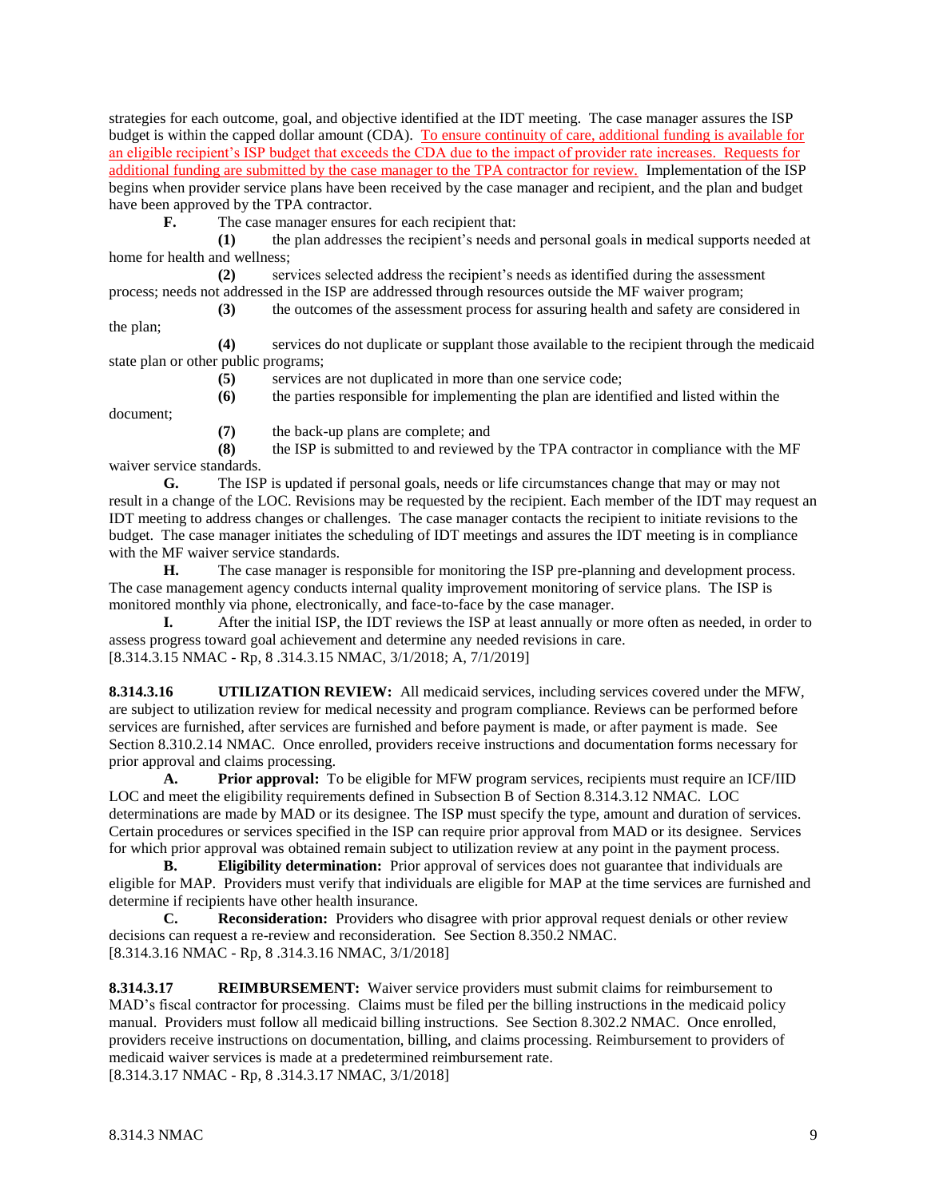strategies for each outcome, goal, and objective identified at the IDT meeting. The case manager assures the ISP budget is within the capped dollar amount (CDA). To ensure continuity of care, additional funding is available for an eligible recipient's ISP budget that exceeds the CDA due to the impact of provider rate increases. Requests for additional funding are submitted by the case manager to the TPA contractor for review. Implementation of the ISP begins when provider service plans have been received by the case manager and recipient, and the plan and budget have been approved by the TPA contractor.

**F.** The case manager ensures for each recipient that:

**(1)** the plan addresses the recipient's needs and personal goals in medical supports needed at home for health and wellness;

**(2)** services selected address the recipient's needs as identified during the assessment process; needs not addressed in the ISP are addressed through resources outside the MF waiver program;

**(3)** the outcomes of the assessment process for assuring health and safety are considered in

the plan;

**(4)** services do not duplicate or supplant those available to the recipient through the medicaid state plan or other public programs;

**(5)** services are not duplicated in more than one service code;

**(6)** the parties responsible for implementing the plan are identified and listed within the

document;

**(7)** the back-up plans are complete; and

**(8)** the ISP is submitted to and reviewed by the TPA contractor in compliance with the MF waiver service standards.

**G.** The ISP is updated if personal goals, needs or life circumstances change that may or may not result in a change of the LOC. Revisions may be requested by the recipient. Each member of the IDT may request an IDT meeting to address changes or challenges. The case manager contacts the recipient to initiate revisions to the budget. The case manager initiates the scheduling of IDT meetings and assures the IDT meeting is in compliance with the MF waiver service standards.

**H.** The case manager is responsible for monitoring the ISP pre-planning and development process. The case management agency conducts internal quality improvement monitoring of service plans. The ISP is monitored monthly via phone, electronically, and face-to-face by the case manager.

**I.** After the initial ISP, the IDT reviews the ISP at least annually or more often as needed, in order to assess progress toward goal achievement and determine any needed revisions in care. [8.314.3.15 NMAC - Rp, 8 .314.3.15 NMAC, 3/1/2018; A, 7/1/2019]

**8.314.3.16 UTILIZATION REVIEW:** All medicaid services, including services covered under the MFW, are subject to utilization review for medical necessity and program compliance. Reviews can be performed before services are furnished, after services are furnished and before payment is made, or after payment is made. See Section 8.310.2.14 NMAC. Once enrolled, providers receive instructions and documentation forms necessary for prior approval and claims processing.

**A. Prior approval:** To be eligible for MFW program services, recipients must require an ICF/IID LOC and meet the eligibility requirements defined in Subsection B of Section 8.314.3.12 NMAC. LOC determinations are made by MAD or its designee. The ISP must specify the type, amount and duration of services. Certain procedures or services specified in the ISP can require prior approval from MAD or its designee. Services for which prior approval was obtained remain subject to utilization review at any point in the payment process.

**B. Eligibility determination:** Prior approval of services does not guarantee that individuals are eligible for MAP. Providers must verify that individuals are eligible for MAP at the time services are furnished and determine if recipients have other health insurance.

**C. Reconsideration:** Providers who disagree with prior approval request denials or other review decisions can request a re-review and reconsideration. See Section 8.350.2 NMAC. [8.314.3.16 NMAC - Rp, 8 .314.3.16 NMAC, 3/1/2018]

**8.314.3.17 REIMBURSEMENT:** Waiver service providers must submit claims for reimbursement to MAD's fiscal contractor for processing. Claims must be filed per the billing instructions in the medicaid policy manual. Providers must follow all medicaid billing instructions. See Section 8.302.2 NMAC. Once enrolled, providers receive instructions on documentation, billing, and claims processing. Reimbursement to providers of medicaid waiver services is made at a predetermined reimbursement rate. [8.314.3.17 NMAC - Rp, 8 .314.3.17 NMAC, 3/1/2018]